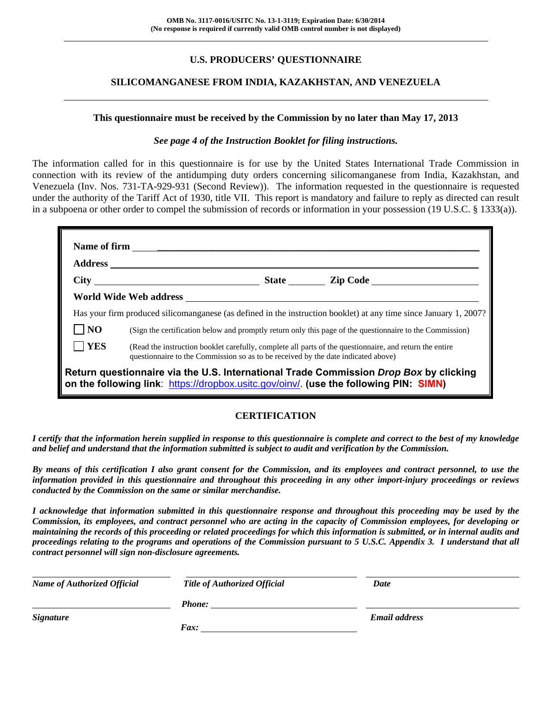# **U.S. PRODUCERS' QUESTIONNAIRE**

## **SILICOMANGANESE FROM INDIA, KAZAKHSTAN, AND VENEZUELA**

#### **This questionnaire must be received by the Commission by no later than May 17, 2013**

#### *See page 4 of the Instruction Booklet for filing instructions.*

The information called for in this questionnaire is for use by the United States International Trade Commission in connection with its review of the antidumping duty orders concerning silicomanganese from India, Kazakhstan, and Venezuela (Inv. Nos. 731-TA-929-931 (Second Review)). The information requested in the questionnaire is requested under the authority of the Tariff Act of 1930, title VII. This report is mandatory and failure to reply as directed can result in a subpoena or other order to compel the submission of records or information in your possession (19 U.S.C. § 1333(a)).

|                                                                                                                                                                                | World Wide Web address <b>with a set of the contract of the contract of the contract of the contract of the contract of the contract of the contract of the contract of the contract of the contract of the contract of the cont</b> |  |                                                                                                                   |  |
|--------------------------------------------------------------------------------------------------------------------------------------------------------------------------------|--------------------------------------------------------------------------------------------------------------------------------------------------------------------------------------------------------------------------------------|--|-------------------------------------------------------------------------------------------------------------------|--|
|                                                                                                                                                                                |                                                                                                                                                                                                                                      |  | Has your firm produced silicomanganese (as defined in the instruction booklet) at any time since January 1, 2007? |  |
| N <sub>O</sub>                                                                                                                                                                 |                                                                                                                                                                                                                                      |  | (Sign the certification below and promptly return only this page of the questionnaire to the Commission)          |  |
| <b>YES</b>                                                                                                                                                                     | questionnaire to the Commission so as to be received by the date indicated above)                                                                                                                                                    |  | (Read the instruction booklet carefully, complete all parts of the questionnaire, and return the entire           |  |
| Return questionnaire via the U.S. International Trade Commission Drop Box by clicking<br>on the following link: https://dropbox.usitc.gov/oinv/. (use the following PIN: SIMN) |                                                                                                                                                                                                                                      |  |                                                                                                                   |  |

# **CERTIFICATION**

*I certify that the information herein supplied in response to this questionnaire is complete and correct to the best of my knowledge and belief and understand that the information submitted is subject to audit and verification by the Commission.* 

*By means of this certification I also grant consent for the Commission, and its employees and contract personnel, to use the information provided in this questionnaire and throughout this proceeding in any other import-injury proceedings or reviews conducted by the Commission on the same or similar merchandise.* 

*I acknowledge that information submitted in this questionnaire response and throughout this proceeding may be used by the Commission, its employees, and contract personnel who are acting in the capacity of Commission employees, for developing or maintaining the records of this proceeding or related proceedings for which this information is submitted, or in internal audits and proceedings relating to the programs and operations of the Commission pursuant to 5 U.S.C. Appendix 3. I understand that all contract personnel will sign non-disclosure agreements.* 

| <b>Name of Authorized Official</b> | <b>Title of Authorized Official</b> | Date                 |
|------------------------------------|-------------------------------------|----------------------|
|                                    | <b>Phone:</b>                       |                      |
| <b>Signature</b>                   |                                     | <b>Email address</b> |
|                                    | Fax:                                |                      |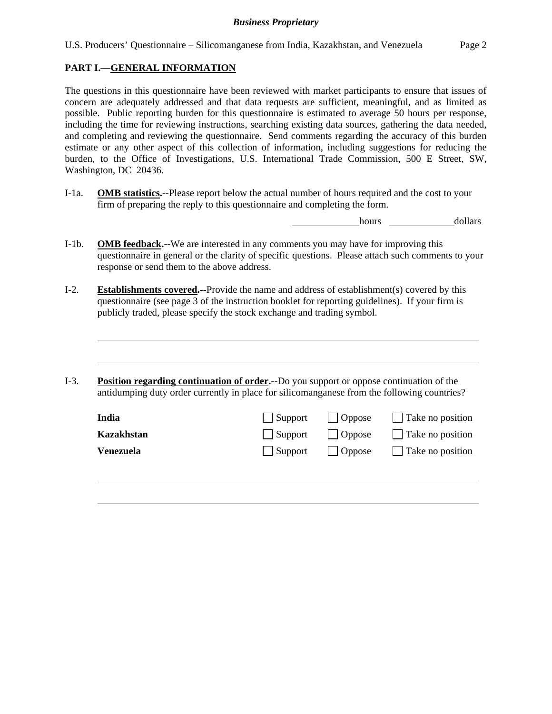# **PART I.—GENERAL INFORMATION**

l

The questions in this questionnaire have been reviewed with market participants to ensure that issues of concern are adequately addressed and that data requests are sufficient, meaningful, and as limited as possible. Public reporting burden for this questionnaire is estimated to average 50 hours per response, including the time for reviewing instructions, searching existing data sources, gathering the data needed, and completing and reviewing the questionnaire. Send comments regarding the accuracy of this burden estimate or any other aspect of this collection of information, including suggestions for reducing the burden, to the Office of Investigations, U.S. International Trade Commission, 500 E Street, SW, Washington, DC 20436.

I-1a. **OMB statistics.--**Please report below the actual number of hours required and the cost to your firm of preparing the reply to this questionnaire and completing the form.

hours dollars

- I-1b. **OMB feedback.--**We are interested in any comments you may have for improving this questionnaire in general or the clarity of specific questions. Please attach such comments to your response or send them to the above address.
- I-2. **Establishments covered.--**Provide the name and address of establishment(s) covered by this questionnaire (see page 3 of the instruction booklet for reporting guidelines). If your firm is publicly traded, please specify the stock exchange and trading symbol.
- I-3. **Position regarding continuation of order.--**Do you support or oppose continuation of the antidumping duty order currently in place for silicomanganese from the following countries?

| India      | $\Box$ Support  | $\vert$ Oppose | $\Box$ Take no position |
|------------|-----------------|----------------|-------------------------|
| Kazakhstan | $\Box$ Support  | $\vert$ Oppose | $\Box$ Take no position |
| Venezuela  | $\vert$ Support | $\vert$ Oppose | $\Box$ Take no position |
|            |                 |                |                         |
|            |                 |                |                         |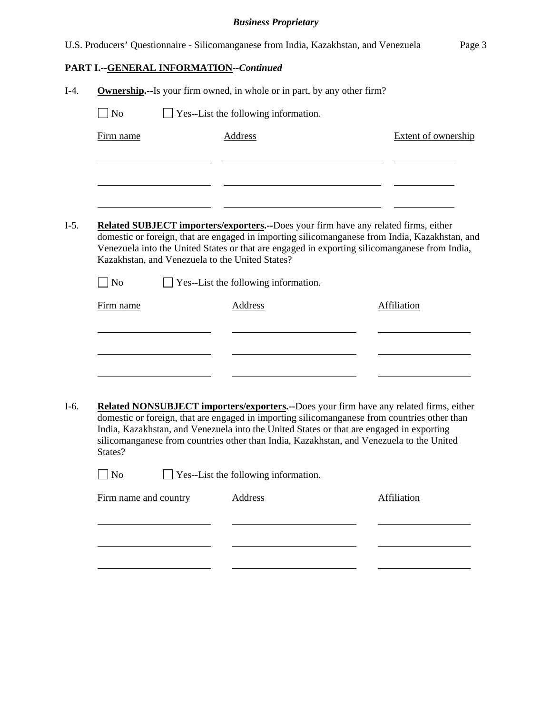|                                                                                                                                                                                                                                                                                                         |                                                                                 |                                         | U.S. Producers' Questionnaire - Silicomanganese from India, Kazakhstan, and Venezuela |  | Page 3                     |  |
|---------------------------------------------------------------------------------------------------------------------------------------------------------------------------------------------------------------------------------------------------------------------------------------------------------|---------------------------------------------------------------------------------|-----------------------------------------|---------------------------------------------------------------------------------------|--|----------------------------|--|
|                                                                                                                                                                                                                                                                                                         |                                                                                 | PART I.--GENERAL INFORMATION--Continued |                                                                                       |  |                            |  |
| $I-4.$                                                                                                                                                                                                                                                                                                  | <b>Ownership.</b> --Is your firm owned, in whole or in part, by any other firm? |                                         |                                                                                       |  |                            |  |
|                                                                                                                                                                                                                                                                                                         | $\neg$ No<br>Yes--List the following information.                               |                                         |                                                                                       |  |                            |  |
|                                                                                                                                                                                                                                                                                                         | Firm name                                                                       |                                         | Address                                                                               |  | <b>Extent of ownership</b> |  |
|                                                                                                                                                                                                                                                                                                         |                                                                                 |                                         |                                                                                       |  |                            |  |
|                                                                                                                                                                                                                                                                                                         |                                                                                 |                                         |                                                                                       |  |                            |  |
|                                                                                                                                                                                                                                                                                                         |                                                                                 |                                         |                                                                                       |  |                            |  |
| <b>Related SUBJECT importers/exporters.--Does your firm have any related firms, either</b><br>$I-5.$<br>domestic or foreign, that are engaged in importing silicomanganese from India, Kazakhstan, and<br>Venezuela into the United States or that are engaged in exporting silicomanganese from India, |                                                                                 |                                         |                                                                                       |  |                            |  |
|                                                                                                                                                                                                                                                                                                         |                                                                                 |                                         | Kazakhstan, and Venezuela to the United States?                                       |  |                            |  |
|                                                                                                                                                                                                                                                                                                         | $\blacksquare$ No                                                               |                                         | $\Box$ Yes--List the following information.                                           |  |                            |  |
|                                                                                                                                                                                                                                                                                                         | Affiliation<br>Firm name<br>Address                                             |                                         |                                                                                       |  |                            |  |
|                                                                                                                                                                                                                                                                                                         |                                                                                 |                                         |                                                                                       |  |                            |  |
|                                                                                                                                                                                                                                                                                                         |                                                                                 |                                         |                                                                                       |  |                            |  |
|                                                                                                                                                                                                                                                                                                         |                                                                                 |                                         |                                                                                       |  |                            |  |

I-6. **Related NONSUBJECT importers/exporters.--**Does your firm have any related firms, either domestic or foreign, that are engaged in importing silicomanganese from countries other than India, Kazakhstan, and Venezuela into the United States or that are engaged in exporting silicomanganese from countries other than India, Kazakhstan, and Venezuela to the United States?

| $\Box$ No | $\Box$ Yes--List the following information. |  |
|-----------|---------------------------------------------|--|
|           |                                             |  |

| Firm name and country | Address | Affiliation |
|-----------------------|---------|-------------|
|                       |         |             |
|                       |         |             |
|                       |         |             |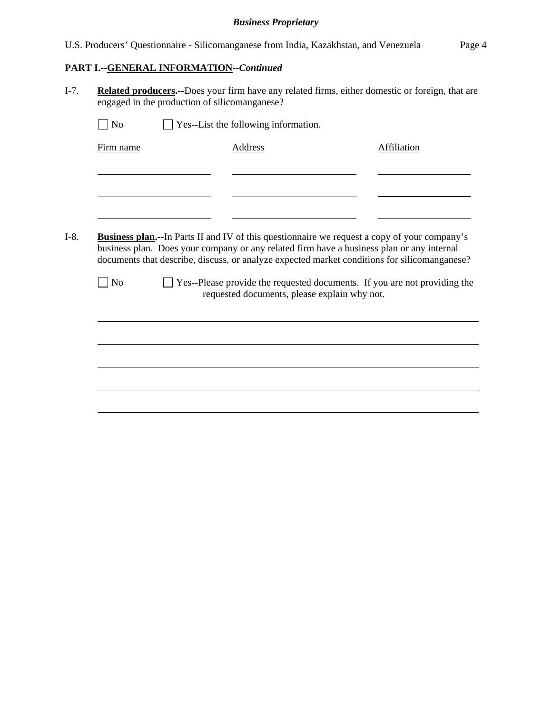U.S. Producers' Questionnaire - Silicomanganese from India, Kazakhstan, and Venezuela Page 4

# **PART I.--GENERAL INFORMATION***--Continued*

I-7. **Related producers.--**Does your firm have any related firms, either domestic or foreign, that are engaged in the production of silicomanganese?

| Firm name | Address                                                                                                                                                                                                                                                                                           | Affiliation |
|-----------|---------------------------------------------------------------------------------------------------------------------------------------------------------------------------------------------------------------------------------------------------------------------------------------------------|-------------|
|           |                                                                                                                                                                                                                                                                                                   |             |
|           |                                                                                                                                                                                                                                                                                                   |             |
|           |                                                                                                                                                                                                                                                                                                   |             |
|           |                                                                                                                                                                                                                                                                                                   |             |
|           |                                                                                                                                                                                                                                                                                                   |             |
|           |                                                                                                                                                                                                                                                                                                   |             |
|           | <b>Business plan.</b> --In Parts II and IV of this questionnaire we request a copy of your company's<br>business plan. Does your company or any related firm have a business plan or any internal<br>documents that describe, discuss, or analyze expected market conditions for silicomanganese? |             |
| $\Box$ No | □ Yes--Please provide the requested documents. If you are not providing the<br>requested documents, please explain why not.                                                                                                                                                                       |             |
|           |                                                                                                                                                                                                                                                                                                   |             |
|           |                                                                                                                                                                                                                                                                                                   |             |
|           |                                                                                                                                                                                                                                                                                                   |             |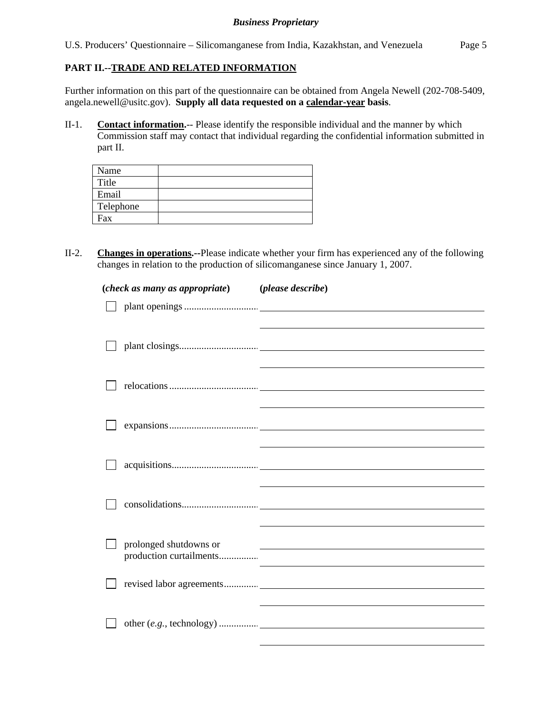U.S. Producers' Questionnaire – Silicomanganese from India, Kazakhstan, and Venezuela Page 5

# **PART II.--TRADE AND RELATED INFORMATION**

Further information on this part of the questionnaire can be obtained from Angela Newell (202-708-5409, angela.newell@usitc.gov). **Supply all data requested on a calendar-year basis**.

II-1. **Contact information.**-- Please identify the responsible individual and the manner by which Commission staff may contact that individual regarding the confidential information submitted in part II.

| Name      |  |
|-----------|--|
| Title     |  |
| Email     |  |
| Telephone |  |
| Fax       |  |

II-2. **Changes in operations.--**Please indicate whether your firm has experienced any of the following changes in relation to the production of silicomanganese since January 1, 2007.

| (check as many as appropriate) (please describe) |                                                             |
|--------------------------------------------------|-------------------------------------------------------------|
|                                                  |                                                             |
|                                                  |                                                             |
|                                                  |                                                             |
|                                                  |                                                             |
|                                                  |                                                             |
|                                                  |                                                             |
|                                                  |                                                             |
|                                                  |                                                             |
|                                                  |                                                             |
|                                                  |                                                             |
|                                                  |                                                             |
| prolonged shutdowns or                           |                                                             |
|                                                  | <u> 1989 - Andrea Stadt Britain, amerikansk politiker (</u> |
|                                                  |                                                             |
|                                                  |                                                             |
|                                                  |                                                             |
|                                                  |                                                             |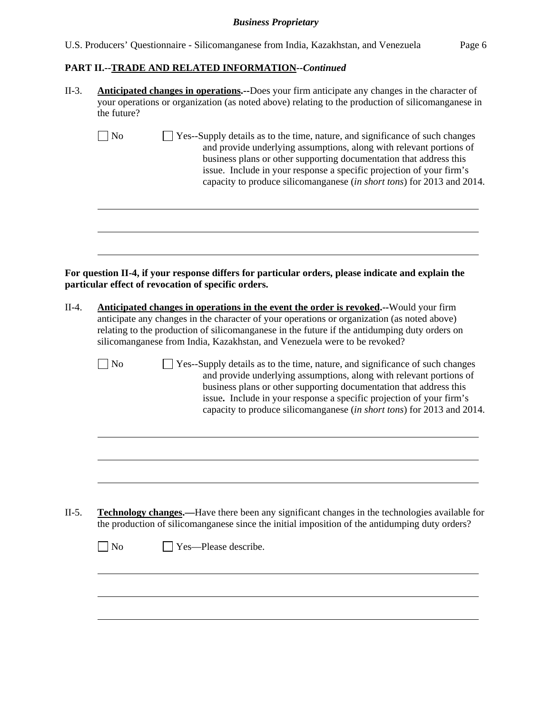# **PART II.--TRADE AND RELATED INFORMATION***--Continued*

| II-3.   | <b>Anticipated changes in operations.</b> --Does your firm anticipate any changes in the character of<br>your operations or organization (as noted above) relating to the production of silicomanganese in<br>the future?                                                                                                                                                                |
|---------|------------------------------------------------------------------------------------------------------------------------------------------------------------------------------------------------------------------------------------------------------------------------------------------------------------------------------------------------------------------------------------------|
|         | $\Box$ No<br>Yes--Supply details as to the time, nature, and significance of such changes<br>and provide underlying assumptions, along with relevant portions of<br>business plans or other supporting documentation that address this<br>issue. Include in your response a specific projection of your firm's<br>capacity to produce silicomanganese (in short tons) for 2013 and 2014. |
|         | For question II-4, if your response differs for particular orders, please indicate and explain the<br>particular effect of revocation of specific orders.                                                                                                                                                                                                                                |
| $II-4.$ | Anticipated changes in operations in the event the order is revoked.--Would your firm<br>anticipate any changes in the character of your operations or organization (as noted above)<br>relating to the production of silicomanganese in the future if the antidumping duty orders on<br>silicomanganese from India, Kazakhstan, and Venezuela were to be revoked?                       |
|         | No<br>Yes--Supply details as to the time, nature, and significance of such changes<br>and provide underlying assumptions, along with relevant portions of<br>business plans or other supporting documentation that address this<br>issue. Include in your response a specific projection of your firm's<br>capacity to produce silicomanganese (in short tons) for 2013 and 2014.        |
|         |                                                                                                                                                                                                                                                                                                                                                                                          |
| $II-5.$ | <b>Technology changes.</b> —Have there been any significant changes in the technologies available for<br>the production of silicomanganese since the initial imposition of the antidumping duty orders?                                                                                                                                                                                  |
|         | $\Box$ No<br>Yes-Please describe.                                                                                                                                                                                                                                                                                                                                                        |
|         |                                                                                                                                                                                                                                                                                                                                                                                          |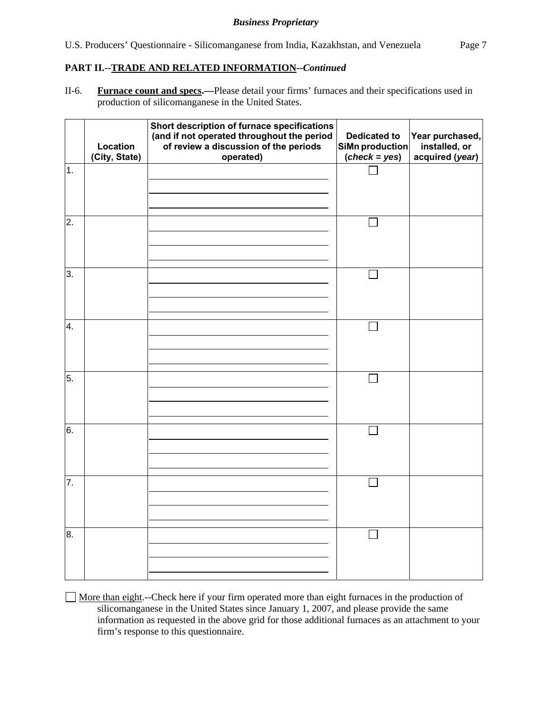## **PART II.--TRADE AND RELATED INFORMATION***--Continued*

II-6. **Furnace count and specs.—**Please detail your firms' furnaces and their specifications used in production of silicomanganese in the United States.

|    | Location<br>(City, State) | Short description of furnace specifications<br>(and if not operated throughout the period<br>of review a discussion of the periods<br>operated) | <b>Dedicated to</b><br>SiMn production<br>$(check = yes)$ | Year purchased,<br>installed, or<br>acquired (year) |
|----|---------------------------|-------------------------------------------------------------------------------------------------------------------------------------------------|-----------------------------------------------------------|-----------------------------------------------------|
| 1. |                           |                                                                                                                                                 |                                                           |                                                     |
| 2. |                           |                                                                                                                                                 |                                                           |                                                     |
| 3. |                           |                                                                                                                                                 |                                                           |                                                     |
| 4. |                           |                                                                                                                                                 |                                                           |                                                     |
| 5. |                           |                                                                                                                                                 | $\mathbf{L}$                                              |                                                     |
| 6. |                           |                                                                                                                                                 |                                                           |                                                     |
| 7. |                           |                                                                                                                                                 |                                                           |                                                     |
| 8. |                           |                                                                                                                                                 |                                                           |                                                     |

 More than eight.--Check here if your firm operated more than eight furnaces in the production of silicomanganese in the United States since January 1, 2007, and please provide the same information as requested in the above grid for those additional furnaces as an attachment to your firm's response to this questionnaire.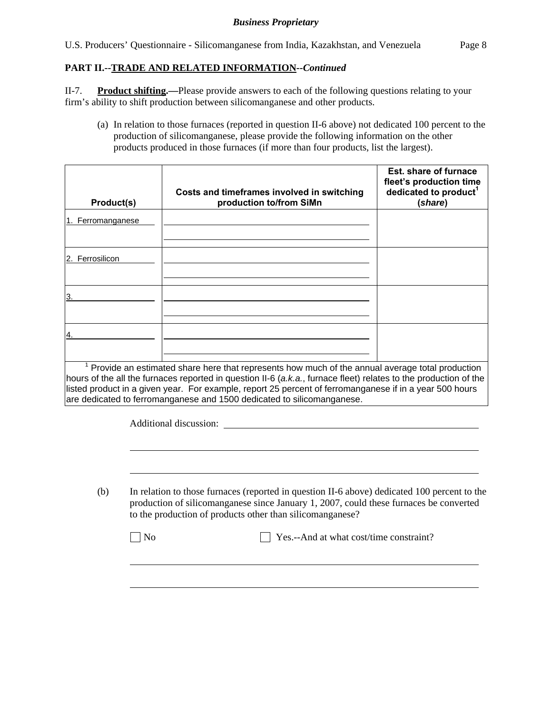U.S. Producers' Questionnaire - Silicomanganese from India, Kazakhstan, and Venezuela Page 8

# **PART II.--TRADE AND RELATED INFORMATION***--Continued*

II-7. **Product shifting.—**Please provide answers to each of the following questions relating to your firm's ability to shift production between silicomanganese and other products.

(a) In relation to those furnaces (reported in question II-6 above) not dedicated 100 percent to the production of silicomanganese, please provide the following information on the other products produced in those furnaces (if more than four products, list the largest).

| Product(s)        | Costs and timeframes involved in switching<br>production to/from SiMn                                                                                                                                                                                                                                                                                                                                        | Est. share of furnace<br>fleet's production time<br>dedicated to product <sup>1</sup><br>(share) |
|-------------------|--------------------------------------------------------------------------------------------------------------------------------------------------------------------------------------------------------------------------------------------------------------------------------------------------------------------------------------------------------------------------------------------------------------|--------------------------------------------------------------------------------------------------|
| 1. Ferromanganese |                                                                                                                                                                                                                                                                                                                                                                                                              |                                                                                                  |
| 2. Ferrosilicon   |                                                                                                                                                                                                                                                                                                                                                                                                              |                                                                                                  |
|                   |                                                                                                                                                                                                                                                                                                                                                                                                              |                                                                                                  |
|                   |                                                                                                                                                                                                                                                                                                                                                                                                              |                                                                                                  |
|                   | $1$ Provide an estimated share here that represents how much of the annual average total production<br>hours of the all the furnaces reported in question II-6 (a.k.a., furnace fleet) relates to the production of the<br>listed product in a given year. For example, report 25 percent of ferromanganese if in a year 500 hours<br>are dedicated to ferromanganese and 1500 dedicated to silicomanganese. |                                                                                                  |

Additional discussion:

l

(b) In relation to those furnaces (reported in question II-6 above) dedicated 100 percent to the production of silicomanganese since January 1, 2007, could these furnaces be converted to the production of products other than silicomanganese?

| $\Box$ Yes.--And at what cost/time constraint?<br>N <sub>0</sub> |  |
|------------------------------------------------------------------|--|
|------------------------------------------------------------------|--|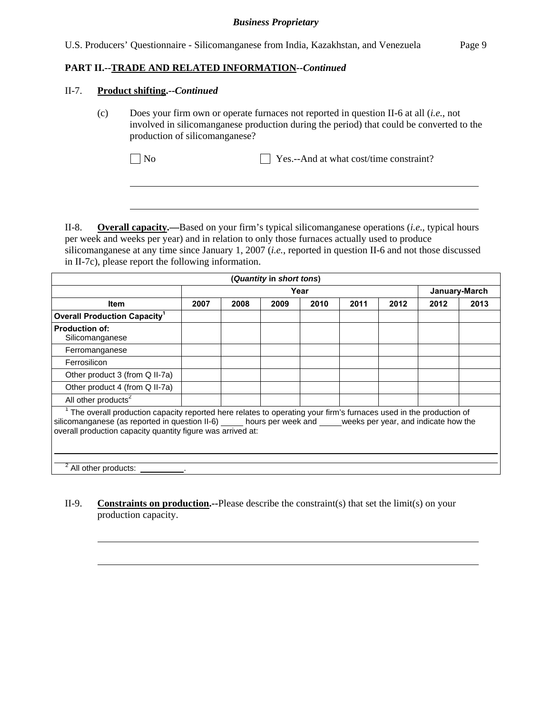## **PART II.--TRADE AND RELATED INFORMATION***--Continued*

#### II-7. **Product shifting.--***Continued*

l

l

(c) Does your firm own or operate furnaces not reported in question II-6 at all (*i.e.*, not involved in silicomanganese production during the period) that could be converted to the production of silicomanganese?

No Yes.--And at what cost/time constraint?

II-8. **Overall capacity.—**Based on your firm's typical silicomanganese operations (*i.e*., typical hours per week and weeks per year) and in relation to only those furnaces actually used to produce silicomanganese at any time since January 1, 2007 (*i.e.*, reported in question II-6 and not those discussed in II-7c), please report the following information.

|                                                                                                                                                                                                                                                                                            |                       |      | (Quantity in short tons) |      |      |      |      |      |
|--------------------------------------------------------------------------------------------------------------------------------------------------------------------------------------------------------------------------------------------------------------------------------------------|-----------------------|------|--------------------------|------|------|------|------|------|
|                                                                                                                                                                                                                                                                                            | Year<br>January-March |      |                          |      |      |      |      |      |
| <b>Item</b>                                                                                                                                                                                                                                                                                | 2007                  | 2008 | 2009                     | 2010 | 2011 | 2012 | 2012 | 2013 |
| <b>Overall Production Capacity<sup>1</sup></b>                                                                                                                                                                                                                                             |                       |      |                          |      |      |      |      |      |
| <b>Production of:</b><br>Silicomanganese                                                                                                                                                                                                                                                   |                       |      |                          |      |      |      |      |      |
| Ferromanganese                                                                                                                                                                                                                                                                             |                       |      |                          |      |      |      |      |      |
| Ferrosilicon                                                                                                                                                                                                                                                                               |                       |      |                          |      |      |      |      |      |
| Other product 3 (from Q II-7a)                                                                                                                                                                                                                                                             |                       |      |                          |      |      |      |      |      |
| Other product 4 (from Q II-7a)                                                                                                                                                                                                                                                             |                       |      |                          |      |      |      |      |      |
| All other products <sup>2</sup>                                                                                                                                                                                                                                                            |                       |      |                          |      |      |      |      |      |
| The overall production capacity reported here relates to operating your firm's furnaces used in the production of<br>silicomanganese (as reported in question II-6) hours per week and weeks per year, and indicate how the<br>overall production capacity quantity figure was arrived at: |                       |      |                          |      |      |      |      |      |
| All other products:                                                                                                                                                                                                                                                                        |                       |      |                          |      |      |      |      |      |

II-9. **Constraints on production.--**Please describe the constraint(s) that set the limit(s) on your production capacity.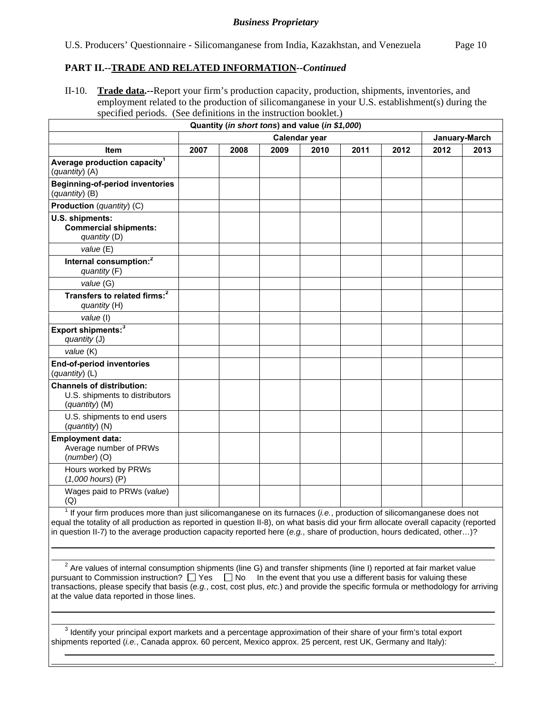## **PART II.--TRADE AND RELATED INFORMATION***--Continued*

II-10. **Trade data.--**Report your firm's production capacity, production, shipments, inventories, and employment related to the production of silicomanganese in your U.S. establishment(s) during the specified periods. (See definitions in the instruction booklet.)

|                                                                                        |      |      |      | Quantity (in short tons) and value (in \$1,000) |      |      |               |      |
|----------------------------------------------------------------------------------------|------|------|------|-------------------------------------------------|------|------|---------------|------|
| Calendar year                                                                          |      |      |      |                                                 |      |      | January-March |      |
| Item                                                                                   | 2007 | 2008 | 2009 | 2010                                            | 2011 | 2012 | 2012          | 2013 |
| Average production capacity <sup>1</sup><br>(quantity) (A)                             |      |      |      |                                                 |      |      |               |      |
| <b>Beginning-of-period inventories</b><br>(quantity) (B)                               |      |      |      |                                                 |      |      |               |      |
| Production (quantity) (C)                                                              |      |      |      |                                                 |      |      |               |      |
| U.S. shipments:<br><b>Commercial shipments:</b><br>quantity (D)                        |      |      |      |                                                 |      |      |               |      |
| value (E)                                                                              |      |      |      |                                                 |      |      |               |      |
| Internal consumption: <sup>2</sup><br>quantity (F)                                     |      |      |      |                                                 |      |      |               |      |
| value (G)                                                                              |      |      |      |                                                 |      |      |               |      |
| Transfers to related firms: <sup>2</sup><br>quantity (H)                               |      |      |      |                                                 |      |      |               |      |
| value (I)                                                                              |      |      |      |                                                 |      |      |               |      |
| Export shipments: <sup>3</sup><br>quantity (J)                                         |      |      |      |                                                 |      |      |               |      |
| value (K)                                                                              |      |      |      |                                                 |      |      |               |      |
| End-of-period inventories<br>(quantity) (L)                                            |      |      |      |                                                 |      |      |               |      |
| <b>Channels of distribution:</b><br>U.S. shipments to distributors<br>$(quantity)$ (M) |      |      |      |                                                 |      |      |               |      |
| U.S. shipments to end users<br>(quantity) (N)                                          |      |      |      |                                                 |      |      |               |      |
| <b>Employment data:</b><br>Average number of PRWs<br>$(number)$ (O)                    |      |      |      |                                                 |      |      |               |      |
| Hours worked by PRWs<br>$(1,000$ hours) $(P)$                                          |      |      |      |                                                 |      |      |               |      |
| Wages paid to PRWs (value)<br>(Q)                                                      |      |      |      |                                                 |      |      |               |      |

<sup>1</sup> If your firm produces more than just silicomanganese on its furnaces (*i.e.*, production of silicomanganese does not equal the totality of all production as reported in question II-8), on what basis did your firm allocate overall capacity (reported in question II-7) to the average production capacity reported here (*e.g.*, share of production, hours dedicated, other…)?

<sup>2</sup> Are values of internal consumption shipments (line G) and transfer shipments (line I) reported at fair market value pursuant to Commission instruction?  $\Box$  Yes  $\Box$  No In the event that you use a different basis for valuing these transactions, please specify that basis (*e.g.*, cost, cost plus, *etc.*) and provide the specific formula or methodology for arriving at the value data reported in those lines.

 $3$  Identify your principal export markets and a percentage approximation of their share of your firm's total export shipments reported (*i.e.*, Canada approx. 60 percent, Mexico approx. 25 percent, rest UK, Germany and Italy):

 $\overline{a}$ 

.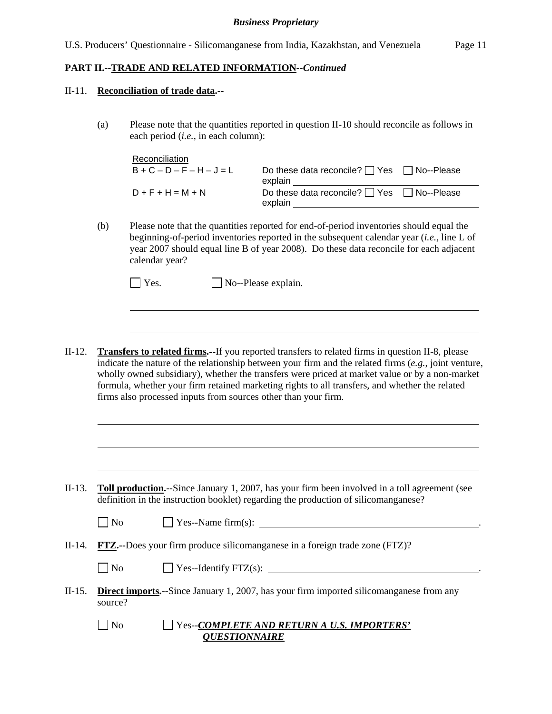### **PART II.--TRADE AND RELATED INFORMATION***--Continued*

#### II-11. **Reconciliation of trade data.--**

l

l

(a) Please note that the quantities reported in question II-10 should reconcile as follows in each period (*i.e.*, in each column):

| Reconciliation              |                                                                  |  |
|-----------------------------|------------------------------------------------------------------|--|
| $B + C - D - F - H - J = L$ | Do these data reconcile? $\Box$ Yes $\Box$ No--Please<br>explain |  |
| $D + F + H = M + N$         | Do these data reconcile? $\Box$ Yes $\Box$ No--Please<br>explain |  |
|                             |                                                                  |  |

(b) Please note that the quantities reported for end-of-period inventories should equal the beginning-of-period inventories reported in the subsequent calendar year (*i.e.*, line L of year 2007 should equal line B of year 2008). Do these data reconcile for each adjacent calendar year?

II-12. **Transfers to related firms.--**If you reported transfers to related firms in question II-8, please indicate the nature of the relationship between your firm and the related firms (*e.g.*, joint venture, wholly owned subsidiary), whether the transfers were priced at market value or by a non-market formula, whether your firm retained marketing rights to all transfers, and whether the related firms also processed inputs from sources other than your firm.

II-13. **Toll production.--**Since January 1, 2007, has your firm been involved in a toll agreement (see definition in the instruction booklet) regarding the production of silicomanganese?

| No | Yes--Name $firm(s)$ : |  |
|----|-----------------------|--|
|    |                       |  |

II-14. **FTZ.--**Does your firm produce silicomanganese in a foreign trade zone (FTZ)?

| No<br><sup><math>\frac{1}{2}</math></sup> Yes--Identify FTZ(s): |
|-----------------------------------------------------------------|
|-----------------------------------------------------------------|

- II-15. **Direct imports.--**Since January 1, 2007, has your firm imported silicomanganese from any source?
	- No Yes--*COMPLETE AND RETURN A U.S. IMPORTERS' QUESTIONNAIRE*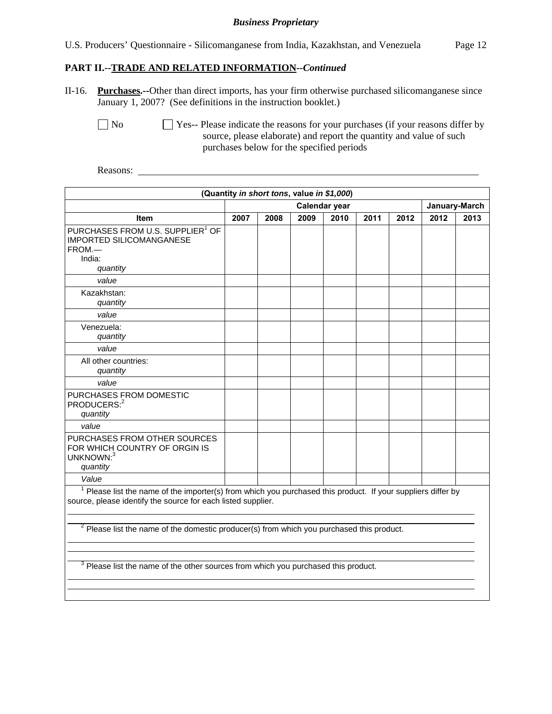|  | U.S. Producers' Questionnaire - Silicomanganese from India, Kazakhstan, and Venezuela |  | Page 12 |
|--|---------------------------------------------------------------------------------------|--|---------|
|  |                                                                                       |  |         |

### **PART II.--TRADE AND RELATED INFORMATION***--Continued*

II-16. **Purchases.--**Other than direct imports, has your firm otherwise purchased silicomanganese since January 1, 2007? (See definitions in the instruction booklet.)

No Ses-- Please indicate the reasons for your purchases (if your reasons differ by source, please elaborate) and report the quantity and value of such purchases below for the specified periods

Reasons:

|                                                                                                                                                                                                                                                                                        |                                | (Quantity in short tons, value in \$1,000) |      |      |      |      |      |      |
|----------------------------------------------------------------------------------------------------------------------------------------------------------------------------------------------------------------------------------------------------------------------------------------|--------------------------------|--------------------------------------------|------|------|------|------|------|------|
|                                                                                                                                                                                                                                                                                        | Calendar year<br>January-March |                                            |      |      |      |      |      |      |
| <b>Item</b>                                                                                                                                                                                                                                                                            | 2007                           | 2008                                       | 2009 | 2010 | 2011 | 2012 | 2012 | 2013 |
| PURCHASES FROM U.S. SUPPLIER <sup>1</sup> OF<br><b>IMPORTED SILICOMANGANESE</b><br>FROM.-<br>India:<br>quantity                                                                                                                                                                        |                                |                                            |      |      |      |      |      |      |
| value                                                                                                                                                                                                                                                                                  |                                |                                            |      |      |      |      |      |      |
| Kazakhstan:<br>quantity                                                                                                                                                                                                                                                                |                                |                                            |      |      |      |      |      |      |
| value                                                                                                                                                                                                                                                                                  |                                |                                            |      |      |      |      |      |      |
| Venezuela:<br>quantity                                                                                                                                                                                                                                                                 |                                |                                            |      |      |      |      |      |      |
| value                                                                                                                                                                                                                                                                                  |                                |                                            |      |      |      |      |      |      |
| All other countries:<br>quantity                                                                                                                                                                                                                                                       |                                |                                            |      |      |      |      |      |      |
| value                                                                                                                                                                                                                                                                                  |                                |                                            |      |      |      |      |      |      |
| PURCHASES FROM DOMESTIC<br>PRODUCERS: <sup>2</sup><br>quantity                                                                                                                                                                                                                         |                                |                                            |      |      |      |      |      |      |
| value                                                                                                                                                                                                                                                                                  |                                |                                            |      |      |      |      |      |      |
| PURCHASES FROM OTHER SOURCES<br>FOR WHICH COUNTRY OF ORGIN IS<br>UNKNOWN:3<br>quantity                                                                                                                                                                                                 |                                |                                            |      |      |      |      |      |      |
| Value                                                                                                                                                                                                                                                                                  |                                |                                            |      |      |      |      |      |      |
| <sup>1</sup> Please list the name of the importer(s) from which you purchased this product. If your suppliers differ by<br>source, please identify the source for each listed supplier.<br>$2$ Please list the name of the domestic producer(s) from which you purchased this product. |                                |                                            |      |      |      |      |      |      |
|                                                                                                                                                                                                                                                                                        |                                |                                            |      |      |      |      |      |      |
| <sup>3</sup> Please list the name of the other sources from which you purchased this product.                                                                                                                                                                                          |                                |                                            |      |      |      |      |      |      |
|                                                                                                                                                                                                                                                                                        |                                |                                            |      |      |      |      |      |      |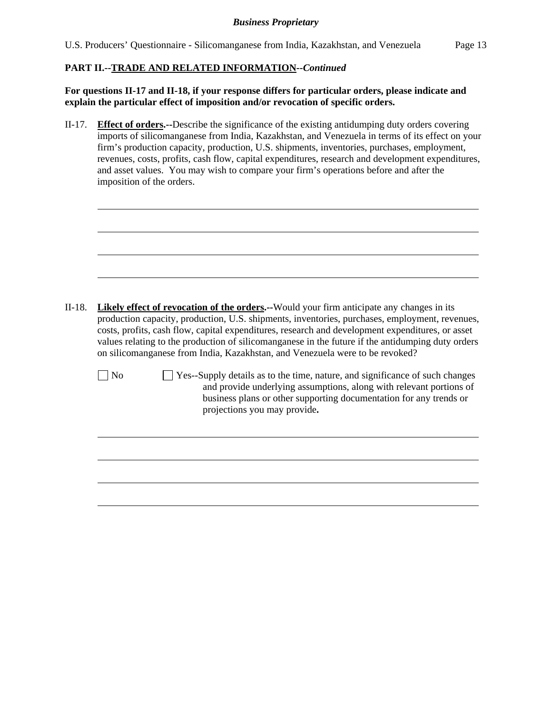### **PART II.--TRADE AND RELATED INFORMATION***--Continued*

l

**For questions II-17 and II-18, if your response differs for particular orders, please indicate and explain the particular effect of imposition and/or revocation of specific orders.**

II-17. **Effect of orders.--**Describe the significance of the existing antidumping duty orders covering imports of silicomanganese from India, Kazakhstan, and Venezuela in terms of its effect on your firm's production capacity, production, U.S. shipments, inventories, purchases, employment, revenues, costs, profits, cash flow, capital expenditures, research and development expenditures, and asset values. You may wish to compare your firm's operations before and after the imposition of the orders.

|                | <b>Likely effect of revocation of the orders.</b> --Would your firm anticipate any changes in its<br>production capacity, production, U.S. shipments, inventories, purchases, employment, revenues,<br>costs, profits, cash flow, capital expenditures, research and development expenditures, or asset<br>values relating to the production of silicomanganese in the future if the antidumping duty orders<br>on silicomanganese from India, Kazakhstan, and Venezuela were to be revoked? |
|----------------|----------------------------------------------------------------------------------------------------------------------------------------------------------------------------------------------------------------------------------------------------------------------------------------------------------------------------------------------------------------------------------------------------------------------------------------------------------------------------------------------|
| N <sub>0</sub> | Yes--Supply details as to the time, nature, and significance of such changes<br>and provide underlying assumptions, along with relevant portions of<br>business plans or other supporting documentation for any trends or<br>projections you may provide.                                                                                                                                                                                                                                    |
|                |                                                                                                                                                                                                                                                                                                                                                                                                                                                                                              |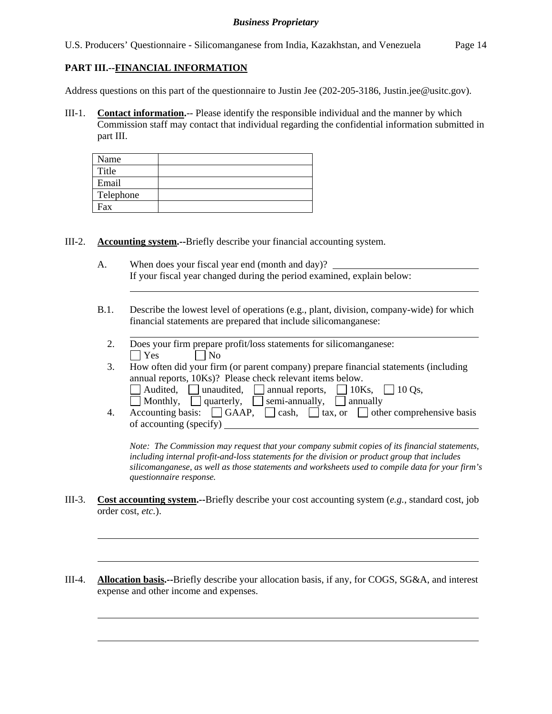U.S. Producers' Questionnaire - Silicomanganese from India, Kazakhstan, and Venezuela Page 14

# **PART III.--FINANCIAL INFORMATION**

l

l

 $\overline{a}$ 

l

Address questions on this part of the questionnaire to Justin Jee (202-205-3186, Justin.jee@usitc.gov).

III-1. **Contact information.**-- Please identify the responsible individual and the manner by which Commission staff may contact that individual regarding the confidential information submitted in part III.

| Name      |  |
|-----------|--|
| Title     |  |
| Email     |  |
| Telephone |  |
| Fax       |  |

III-2. **Accounting system.--**Briefly describe your financial accounting system.

- A. When does your fiscal year end (month and day)? If your fiscal year changed during the period examined, explain below:
- B.1. Describe the lowest level of operations (e.g., plant, division, company-wide) for which financial statements are prepared that include silicomanganese:
	- 2. Does your firm prepare profit/loss statements for silicomanganese:  $|$   $|$   $Y$ es  $|$   $|$   $|$   $N$ o
	- 3. How often did your firm (or parent company) prepare financial statements (including annual reports, 10Ks)? Please check relevant items below.
		- $\Box$  Audited,  $\Box$  unaudited,  $\Box$  annual reports,  $\Box$  10Ks,  $\Box$  10 Qs,
		- Monthly, quarterly, semi-annually, annually
	- 4. Accounting basis:  $\Box$  GAAP,  $\Box$  cash,  $\Box$  tax, or  $\Box$  other comprehensive basis of accounting (specify)

*Note: The Commission may request that your company submit copies of its financial statements, including internal profit-and-loss statements for the division or product group that includes silicomanganese, as well as those statements and worksheets used to compile data for your firm's questionnaire response.* 

- III-3. **Cost accounting system.--**Briefly describe your cost accounting system (*e.g.*, standard cost, job order cost, *etc.*).
- III-4. **Allocation basis.--**Briefly describe your allocation basis, if any, for COGS, SG&A, and interest expense and other income and expenses.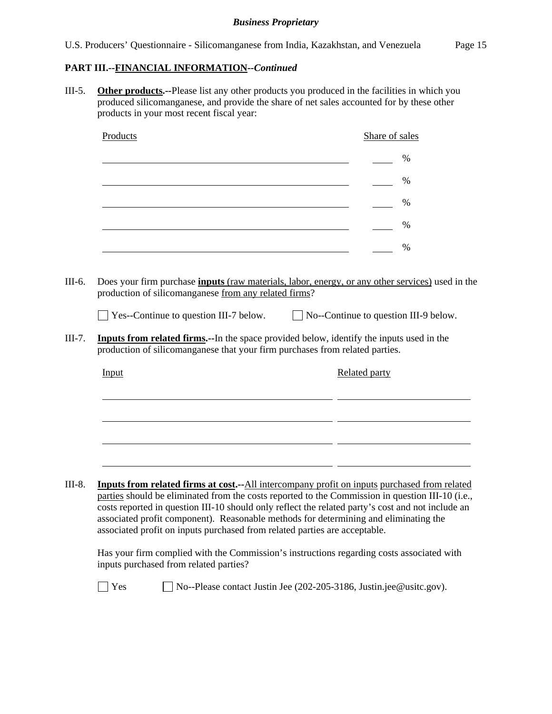# **PART III.--FINANCIAL INFORMATION***--Continued*

III-5. **Other products.--**Please list any other products you produced in the facilities in which you produced silicomanganese, and provide the share of net sales accounted for by these other products in your most recent fiscal year:

| Products                                      | Share of sales                                                                                                                                                                                                                                                                                                                                                              |
|-----------------------------------------------|-----------------------------------------------------------------------------------------------------------------------------------------------------------------------------------------------------------------------------------------------------------------------------------------------------------------------------------------------------------------------------|
|                                               | $\frac{0}{0}$                                                                                                                                                                                                                                                                                                                                                               |
|                                               | $\%$                                                                                                                                                                                                                                                                                                                                                                        |
|                                               | $\%$                                                                                                                                                                                                                                                                                                                                                                        |
|                                               | $\%$                                                                                                                                                                                                                                                                                                                                                                        |
|                                               | $\frac{0}{0}$                                                                                                                                                                                                                                                                                                                                                               |
| $\Box$ Yes--Continue to question III-7 below. | $\Box$ No--Continue to question III-9 below.                                                                                                                                                                                                                                                                                                                                |
|                                               | Inputs from related firms.--In the space provided below, identify the inputs used in the<br>production of silicomanganese that your firm purchases from related parties.                                                                                                                                                                                                    |
| Input                                         | Related party                                                                                                                                                                                                                                                                                                                                                               |
|                                               |                                                                                                                                                                                                                                                                                                                                                                             |
|                                               |                                                                                                                                                                                                                                                                                                                                                                             |
|                                               |                                                                                                                                                                                                                                                                                                                                                                             |
|                                               |                                                                                                                                                                                                                                                                                                                                                                             |
|                                               | <b>Inputs from related firms at cost.</b> --All intercompany profit on inputs purchased from related                                                                                                                                                                                                                                                                        |
|                                               | parties should be eliminated from the costs reported to the Commission in question III-10 (i.e.,<br>costs reported in question III-10 should only reflect the related party's cost and not include an<br>associated profit component). Reasonable methods for determining and eliminating the<br>associated profit on inputs purchased from related parties are acceptable. |
| inputs purchased from related parties?        | Has your firm complied with the Commission's instructions regarding costs associated with                                                                                                                                                                                                                                                                                   |

Yes No--Please contact Justin Jee (202-205-3186, Justin.jee@usitc.gov).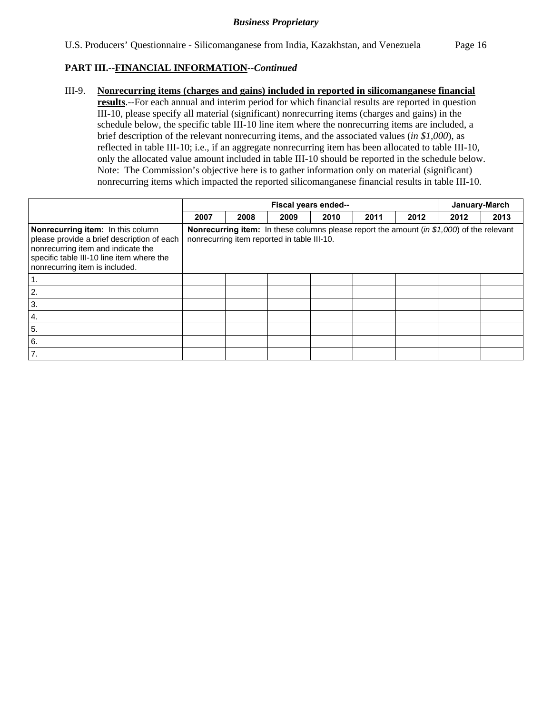## **PART III.--FINANCIAL INFORMATION***--Continued*

III-9. **Nonrecurring items (charges and gains) included in reported in silicomanganese financial results**.--For each annual and interim period for which financial results are reported in question III-10, please specify all material (significant) nonrecurring items (charges and gains) in the schedule below, the specific table III-10 line item where the nonrecurring items are included, a brief description of the relevant nonrecurring items, and the associated values (*in \$1,000*), as reflected in table III-10; i.e., if an aggregate nonrecurring item has been allocated to table III-10, only the allocated value amount included in table III-10 should be reported in the schedule below. Note: The Commission's objective here is to gather information only on material (significant) nonrecurring items which impacted the reported silicomanganese financial results in table III-10.

|                                                                                                                                                                                                      | Fiscal years ended-- |                                             |      |      |      | January-March |                                                                                                  |      |
|------------------------------------------------------------------------------------------------------------------------------------------------------------------------------------------------------|----------------------|---------------------------------------------|------|------|------|---------------|--------------------------------------------------------------------------------------------------|------|
|                                                                                                                                                                                                      | 2007                 | 2008                                        | 2009 | 2010 | 2011 | 2012          | 2012                                                                                             | 2013 |
| Nonrecurring item: In this column<br>please provide a brief description of each<br>nonrecurring item and indicate the<br>specific table III-10 line item where the<br>nonrecurring item is included. |                      | nonrecurring item reported in table III-10. |      |      |      |               | <b>Nonrecurring item:</b> In these columns please report the amount (in \$1,000) of the relevant |      |
|                                                                                                                                                                                                      |                      |                                             |      |      |      |               |                                                                                                  |      |
| 2.                                                                                                                                                                                                   |                      |                                             |      |      |      |               |                                                                                                  |      |
| 3.                                                                                                                                                                                                   |                      |                                             |      |      |      |               |                                                                                                  |      |
| 4.                                                                                                                                                                                                   |                      |                                             |      |      |      |               |                                                                                                  |      |
| 5.                                                                                                                                                                                                   |                      |                                             |      |      |      |               |                                                                                                  |      |
| 6.                                                                                                                                                                                                   |                      |                                             |      |      |      |               |                                                                                                  |      |
| 7.                                                                                                                                                                                                   |                      |                                             |      |      |      |               |                                                                                                  |      |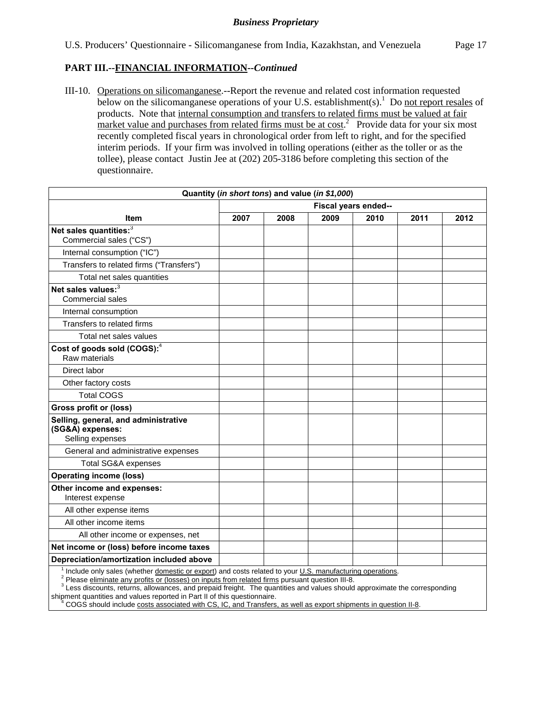## **PART III.--FINANCIAL INFORMATION***--Continued*

III-10. Operations on silicomanganese.--Report the revenue and related cost information requested below on the silicomanganese operations of your U.S. establishment(s).<sup>1</sup> Do not report resales of products. Note that internal consumption and transfers to related firms must be valued at fair market value and purchases from related firms must be at  $cost^2$  Provide data for your six most recently completed fiscal years in chronological order from left to right, and for the specified interim periods. If your firm was involved in tolling operations (either as the toller or as the tollee), please contact Justin Jee at (202) 205-3186 before completing this section of the questionnaire.

| Quantity (in short tons) and value (in \$1,000)                                                                                                                                                                         |                      |      |      |      |      |      |
|-------------------------------------------------------------------------------------------------------------------------------------------------------------------------------------------------------------------------|----------------------|------|------|------|------|------|
|                                                                                                                                                                                                                         | Fiscal years ended-- |      |      |      |      |      |
| <b>Item</b>                                                                                                                                                                                                             | 2007                 | 2008 | 2009 | 2010 | 2011 | 2012 |
| Net sales quantities: <sup>3</sup><br>Commercial sales ("CS")                                                                                                                                                           |                      |      |      |      |      |      |
| Internal consumption ("IC")                                                                                                                                                                                             |                      |      |      |      |      |      |
| Transfers to related firms ("Transfers")                                                                                                                                                                                |                      |      |      |      |      |      |
| Total net sales quantities                                                                                                                                                                                              |                      |      |      |      |      |      |
| Net sales values:3<br>Commercial sales                                                                                                                                                                                  |                      |      |      |      |      |      |
| Internal consumption                                                                                                                                                                                                    |                      |      |      |      |      |      |
| Transfers to related firms                                                                                                                                                                                              |                      |      |      |      |      |      |
| Total net sales values                                                                                                                                                                                                  |                      |      |      |      |      |      |
| Cost of goods sold (COGS): <sup>4</sup><br>Raw materials                                                                                                                                                                |                      |      |      |      |      |      |
| Direct labor                                                                                                                                                                                                            |                      |      |      |      |      |      |
| Other factory costs                                                                                                                                                                                                     |                      |      |      |      |      |      |
| <b>Total COGS</b>                                                                                                                                                                                                       |                      |      |      |      |      |      |
| Gross profit or (loss)                                                                                                                                                                                                  |                      |      |      |      |      |      |
| Selling, general, and administrative<br>(SG&A) expenses:<br>Selling expenses                                                                                                                                            |                      |      |      |      |      |      |
| General and administrative expenses                                                                                                                                                                                     |                      |      |      |      |      |      |
| <b>Total SG&amp;A expenses</b>                                                                                                                                                                                          |                      |      |      |      |      |      |
| <b>Operating income (loss)</b>                                                                                                                                                                                          |                      |      |      |      |      |      |
| Other income and expenses:<br>Interest expense                                                                                                                                                                          |                      |      |      |      |      |      |
| All other expense items                                                                                                                                                                                                 |                      |      |      |      |      |      |
| All other income items                                                                                                                                                                                                  |                      |      |      |      |      |      |
| All other income or expenses, net                                                                                                                                                                                       |                      |      |      |      |      |      |
| Net income or (loss) before income taxes                                                                                                                                                                                |                      |      |      |      |      |      |
| Depreciation/amortization included above                                                                                                                                                                                |                      |      |      |      |      |      |
| Include only sales (whether domestic or export) and costs related to your U.S. manufacturing operations.<br><sup>2</sup> Please eliminate any profits or (losses) on inputs from related firms pursuant question III-8. |                      |      |      |      |      |      |

<sup>3</sup> Less discounts, returns, allowances, and prepaid freight. The quantities and values should approximate the corresponding

shipment quantities and values reported in Part II of this questionnaire.<br><sup>4</sup> COGS should include costs associated with CS, IC, and Transfers, COGS should include costs associated with CS, IC, and Transfers, as well as export shipments in question II-8.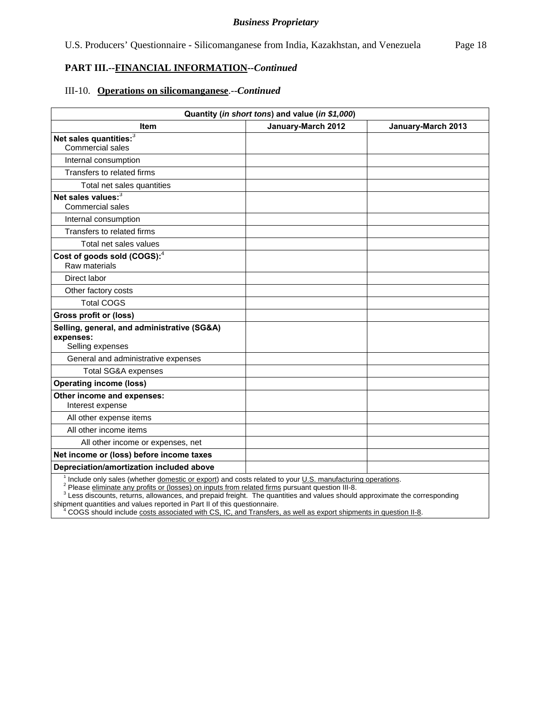### **PART III.--FINANCIAL INFORMATION***--Continued*

#### III-10. **Operations on silicomanganese**.--*Continued*

| Quantity (in short tons) and value (in \$1,000)                              |                                                                                                                                                                                                                                                                     |                    |  |  |  |  |
|------------------------------------------------------------------------------|---------------------------------------------------------------------------------------------------------------------------------------------------------------------------------------------------------------------------------------------------------------------|--------------------|--|--|--|--|
| Item                                                                         | January-March 2012                                                                                                                                                                                                                                                  | January-March 2013 |  |  |  |  |
| Net sales quantities: <sup>3</sup><br><b>Commercial sales</b>                |                                                                                                                                                                                                                                                                     |                    |  |  |  |  |
| Internal consumption                                                         |                                                                                                                                                                                                                                                                     |                    |  |  |  |  |
| Transfers to related firms                                                   |                                                                                                                                                                                                                                                                     |                    |  |  |  |  |
| Total net sales quantities                                                   |                                                                                                                                                                                                                                                                     |                    |  |  |  |  |
| Net sales values: $3\overline{3}$<br><b>Commercial sales</b>                 |                                                                                                                                                                                                                                                                     |                    |  |  |  |  |
| Internal consumption                                                         |                                                                                                                                                                                                                                                                     |                    |  |  |  |  |
| Transfers to related firms                                                   |                                                                                                                                                                                                                                                                     |                    |  |  |  |  |
| Total net sales values                                                       |                                                                                                                                                                                                                                                                     |                    |  |  |  |  |
| Cost of goods sold (COGS): <sup>4</sup><br>Raw materials                     |                                                                                                                                                                                                                                                                     |                    |  |  |  |  |
| Direct labor                                                                 |                                                                                                                                                                                                                                                                     |                    |  |  |  |  |
| Other factory costs                                                          |                                                                                                                                                                                                                                                                     |                    |  |  |  |  |
| <b>Total COGS</b>                                                            |                                                                                                                                                                                                                                                                     |                    |  |  |  |  |
| <b>Gross profit or (loss)</b>                                                |                                                                                                                                                                                                                                                                     |                    |  |  |  |  |
| Selling, general, and administrative (SG&A)<br>expenses:<br>Selling expenses |                                                                                                                                                                                                                                                                     |                    |  |  |  |  |
| General and administrative expenses                                          |                                                                                                                                                                                                                                                                     |                    |  |  |  |  |
| Total SG&A expenses                                                          |                                                                                                                                                                                                                                                                     |                    |  |  |  |  |
| <b>Operating income (loss)</b>                                               |                                                                                                                                                                                                                                                                     |                    |  |  |  |  |
| Other income and expenses:<br>Interest expense                               |                                                                                                                                                                                                                                                                     |                    |  |  |  |  |
| All other expense items                                                      |                                                                                                                                                                                                                                                                     |                    |  |  |  |  |
| All other income items                                                       |                                                                                                                                                                                                                                                                     |                    |  |  |  |  |
| All other income or expenses, net                                            |                                                                                                                                                                                                                                                                     |                    |  |  |  |  |
| Net income or (loss) before income taxes                                     |                                                                                                                                                                                                                                                                     |                    |  |  |  |  |
| Depreciation/amortization included above                                     |                                                                                                                                                                                                                                                                     |                    |  |  |  |  |
| 1 million de la completa de la completa de la construcción de                | $\sim$ 0.000 $\sim$ 0.000 $\sim$ 0.000 $\sim$ 0.000 $\sim$ 0.000 $\sim$ 0.000 $\sim$ 0.000 $\sim$ 0.000 $\sim$ 0.000 $\sim$ 0.000 $\sim$ 0.000 $\sim$ 0.000 $\sim$ 0.000 $\sim$ 0.000 $\sim$ 0.000 $\sim$ 0.000 $\sim$ 0.000 $\sim$ 0.000 $\sim$ 0.000 $\sim$ 0.000 | a cardia           |  |  |  |  |

<sup>1</sup> Include only sales (whether *domestic or export*) and costs related to your <u>U.S. manufacturing operations</u>.<br><sup>2</sup> Please *eliminate any profits or (losses) on inputs from related firms pursuant question III-8.* 

<sup>3</sup> Less discounts, returns, allowances, and prepaid freight. The quantities and values should approximate the corresponding shipment quantities and values reported in Part II of this questionnaire.

<sup>4</sup> COGS should include costs associated with CS, IC, and Transfers, as well as export shipments in question II-8.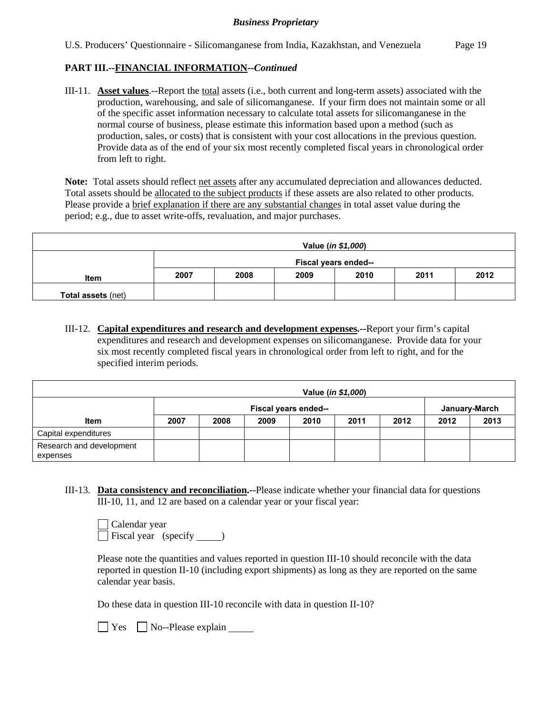## **PART III.--FINANCIAL INFORMATION***--Continued*

III-11. **Asset values**.--Report the total assets (i.e., both current and long-term assets) associated with the production, warehousing, and sale of silicomanganese. If your firm does not maintain some or all of the specific asset information necessary to calculate total assets for silicomanganese in the normal course of business, please estimate this information based upon a method (such as production, sales, or costs) that is consistent with your cost allocations in the previous question. Provide data as of the end of your six most recently completed fiscal years in chronological order from left to right.

Note: Total assets should reflect net assets after any accumulated depreciation and allowances deducted. Total assets should be allocated to the subject products if these assets are also related to other products. Please provide a brief explanation if there are any substantial changes in total asset value during the period; e.g., due to asset write-offs, revaluation, and major purchases.

| Value (in \$1,000)        |      |                      |      |      |      |      |
|---------------------------|------|----------------------|------|------|------|------|
|                           |      | Fiscal years ended-- |      |      |      |      |
| <b>Item</b>               | 2007 | 2008                 | 2009 | 2010 | 2011 | 2012 |
| <b>Total assets (net)</b> |      |                      |      |      |      |      |

III-12. **Capital expenditures and research and development expenses.--**Report your firm's capital expenditures and research and development expenses on silicomanganese. Provide data for your six most recently completed fiscal years in chronological order from left to right, and for the specified interim periods.

|                                      |      |                      |      |      | Value ( <i>in \$1,000</i> ) |      |      |               |
|--------------------------------------|------|----------------------|------|------|-----------------------------|------|------|---------------|
|                                      |      | Fiscal years ended-- |      |      |                             |      |      | January-March |
| <b>Item</b>                          | 2007 | 2008                 | 2009 | 2010 | 2011                        | 2012 | 2012 | 2013          |
| Capital expenditures                 |      |                      |      |      |                             |      |      |               |
| Research and development<br>expenses |      |                      |      |      |                             |      |      |               |

III-13. **Data consistency and reconciliation.--**Please indicate whether your financial data for questions III-10, 11, and 12 are based on a calendar year or your fiscal year:

| Calendar year        |  |
|----------------------|--|
| Fiscal year (specify |  |

Please note the quantities and values reported in question III-10 should reconcile with the data reported in question II-10 (including export shipments) as long as they are reported on the same calendar year basis.

Do these data in question III-10 reconcile with data in question II-10?

 $\Box$  Yes  $\Box$  No--Please explain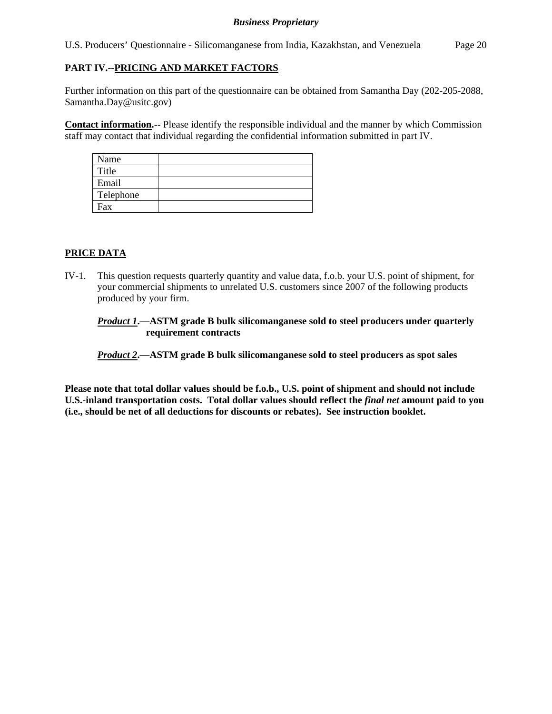U.S. Producers' Questionnaire - Silicomanganese from India, Kazakhstan, and Venezuela Page 20

# **PART IV.--PRICING AND MARKET FACTORS**

Further information on this part of the questionnaire can be obtained from Samantha Day (202-205-2088, Samantha.Day@usitc.gov)

**Contact information.**-- Please identify the responsible individual and the manner by which Commission staff may contact that individual regarding the confidential information submitted in part IV.

| Name      |  |
|-----------|--|
| Title     |  |
| Email     |  |
| Telephone |  |
| Fax       |  |

# **PRICE DATA**

IV-1. This question requests quarterly quantity and value data, f.o.b. your U.S. point of shipment, for your commercial shipments to unrelated U.S. customers since 2007 of the following products produced by your firm.

*Product 1***.—ASTM grade B bulk silicomanganese sold to steel producers under quarterly requirement contracts** 

*Product 2***.—ASTM grade B bulk silicomanganese sold to steel producers as spot sales** 

**Please note that total dollar values should be f.o.b., U.S. point of shipment and should not include U.S.-inland transportation costs. Total dollar values should reflect the** *final net* **amount paid to you (i.e., should be net of all deductions for discounts or rebates). See instruction booklet.**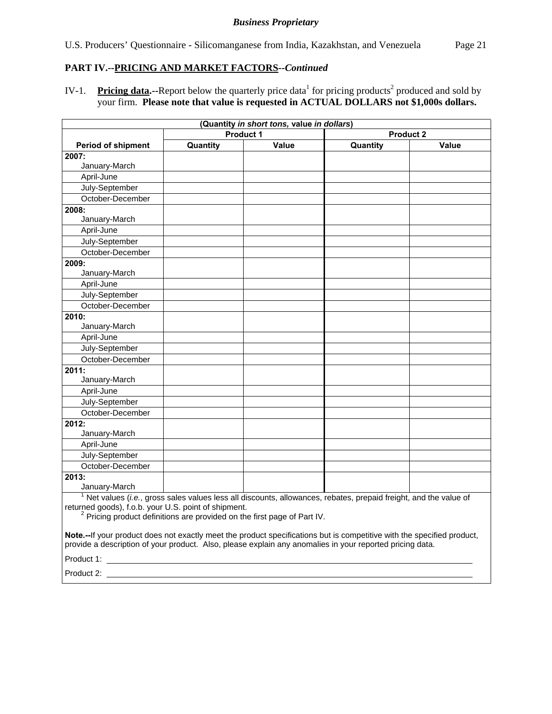## **PART IV.--PRICING AND MARKET FACTORS***--Continued*

IV-1. Pricing data.--Report below the quarterly price data<sup>1</sup> for pricing products<sup>2</sup> produced and sold by your firm. **Please note that value is requested in ACTUAL DOLLARS not \$1,000s dollars.**

| (Quantity in short tons, value in dollars)                                                                                                                                                                                         |                  |       |                                                                                                                              |       |  |  |
|------------------------------------------------------------------------------------------------------------------------------------------------------------------------------------------------------------------------------------|------------------|-------|------------------------------------------------------------------------------------------------------------------------------|-------|--|--|
|                                                                                                                                                                                                                                    | <b>Product 1</b> |       | <b>Product 2</b>                                                                                                             |       |  |  |
| <b>Period of shipment</b>                                                                                                                                                                                                          | Quantity         | Value | Quantity                                                                                                                     | Value |  |  |
| 2007:                                                                                                                                                                                                                              |                  |       |                                                                                                                              |       |  |  |
| January-March                                                                                                                                                                                                                      |                  |       |                                                                                                                              |       |  |  |
| April-June                                                                                                                                                                                                                         |                  |       |                                                                                                                              |       |  |  |
| July-September                                                                                                                                                                                                                     |                  |       |                                                                                                                              |       |  |  |
| October-December                                                                                                                                                                                                                   |                  |       |                                                                                                                              |       |  |  |
| 2008:                                                                                                                                                                                                                              |                  |       |                                                                                                                              |       |  |  |
| January-March                                                                                                                                                                                                                      |                  |       |                                                                                                                              |       |  |  |
| April-June                                                                                                                                                                                                                         |                  |       |                                                                                                                              |       |  |  |
| July-September                                                                                                                                                                                                                     |                  |       |                                                                                                                              |       |  |  |
| October-December                                                                                                                                                                                                                   |                  |       |                                                                                                                              |       |  |  |
| 2009:                                                                                                                                                                                                                              |                  |       |                                                                                                                              |       |  |  |
| January-March                                                                                                                                                                                                                      |                  |       |                                                                                                                              |       |  |  |
| April-June                                                                                                                                                                                                                         |                  |       |                                                                                                                              |       |  |  |
| July-September                                                                                                                                                                                                                     |                  |       |                                                                                                                              |       |  |  |
| October-December                                                                                                                                                                                                                   |                  |       |                                                                                                                              |       |  |  |
| 2010:                                                                                                                                                                                                                              |                  |       |                                                                                                                              |       |  |  |
| January-March                                                                                                                                                                                                                      |                  |       |                                                                                                                              |       |  |  |
| April-June                                                                                                                                                                                                                         |                  |       |                                                                                                                              |       |  |  |
| July-September                                                                                                                                                                                                                     |                  |       |                                                                                                                              |       |  |  |
| October-December                                                                                                                                                                                                                   |                  |       |                                                                                                                              |       |  |  |
| 2011:                                                                                                                                                                                                                              |                  |       |                                                                                                                              |       |  |  |
| January-March                                                                                                                                                                                                                      |                  |       |                                                                                                                              |       |  |  |
| April-June                                                                                                                                                                                                                         |                  |       |                                                                                                                              |       |  |  |
| July-September                                                                                                                                                                                                                     |                  |       |                                                                                                                              |       |  |  |
| October-December                                                                                                                                                                                                                   |                  |       |                                                                                                                              |       |  |  |
| 2012:                                                                                                                                                                                                                              |                  |       |                                                                                                                              |       |  |  |
| January-March                                                                                                                                                                                                                      |                  |       |                                                                                                                              |       |  |  |
| April-June                                                                                                                                                                                                                         |                  |       |                                                                                                                              |       |  |  |
| July-September                                                                                                                                                                                                                     |                  |       |                                                                                                                              |       |  |  |
| October-December                                                                                                                                                                                                                   |                  |       |                                                                                                                              |       |  |  |
| 2013:                                                                                                                                                                                                                              |                  |       |                                                                                                                              |       |  |  |
| January-March                                                                                                                                                                                                                      |                  |       |                                                                                                                              |       |  |  |
| returned goods), f.o.b. your U.S. point of shipment.<br><sup>2</sup> Pricing product definitions are provided on the first page of Part IV.                                                                                        |                  |       | $1$ Net values ( <i>i.e.</i> , gross sales values less all discounts, allowances, rebates, prepaid freight, and the value of |       |  |  |
| Note.--If your product does not exactly meet the product specifications but is competitive with the specified product,<br>provide a description of your product. Also, please explain any anomalies in your reported pricing data. |                  |       |                                                                                                                              |       |  |  |
| Product 1:                                                                                                                                                                                                                         |                  |       |                                                                                                                              |       |  |  |

Product 2: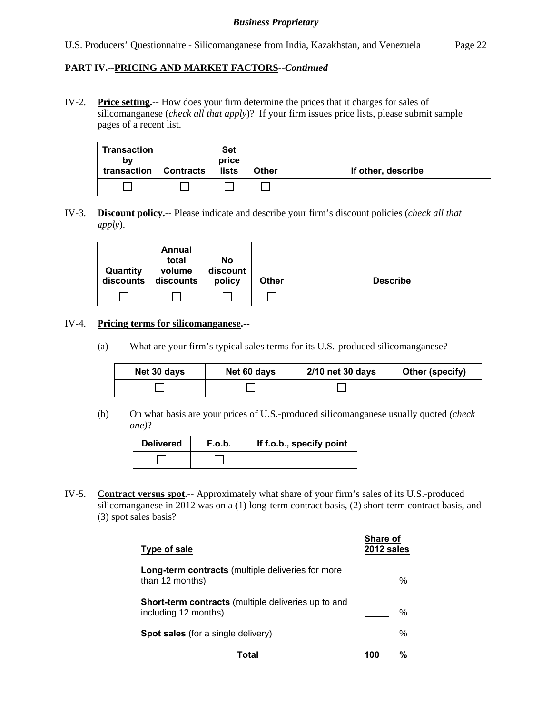## **PART IV.--PRICING AND MARKET FACTORS***--Continued*

IV-2. **Price setting.--** How does your firm determine the prices that it charges for sales of silicomanganese (*check all that apply*)? If your firm issues price lists, please submit sample pages of a recent list.

| Transaction<br>b٧<br>transaction | <b>Contracts</b> | <b>Set</b><br>price<br>lists | <b>Other</b> | If other, describe |
|----------------------------------|------------------|------------------------------|--------------|--------------------|
|                                  |                  |                              |              |                    |

IV-3. **Discount policy.--** Please indicate and describe your firm's discount policies (*check all that apply*).

| Quantity<br>discounts | Annual<br>total<br>volume<br>discounts | No<br>discount<br>policy | <b>Other</b> | <b>Describe</b> |
|-----------------------|----------------------------------------|--------------------------|--------------|-----------------|
|                       |                                        |                          |              |                 |

#### IV-4. **Pricing terms for silicomanganese.--**

(a) What are your firm's typical sales terms for its U.S.-produced silicomanganese?

| Net 30 days | Net 60 days | 2/10 net 30 days | Other (specify) |
|-------------|-------------|------------------|-----------------|
|             |             |                  |                 |

 (b) On what basis are your prices of U.S.-produced silicomanganese usually quoted *(check one)*?

| <b>Delivered</b> | F.o.b. | If f.o.b., specify point |
|------------------|--------|--------------------------|
|                  |        |                          |

IV-5. **Contract versus spot.--** Approximately what share of your firm's sales of its U.S.-produced silicomanganese in 2012 was on a (1) long-term contract basis, (2) short-term contract basis, and (3) spot sales basis?

| Type of sale                                                                       | Share of<br>2012 sales |   |
|------------------------------------------------------------------------------------|------------------------|---|
| Long-term contracts (multiple deliveries for more<br>than 12 months)               |                        | ℅ |
| <b>Short-term contracts</b> (multiple deliveries up to and<br>including 12 months) |                        | ℅ |
| <b>Spot sales</b> (for a single delivery)                                          |                        | % |
| Total                                                                              | 100                    | % |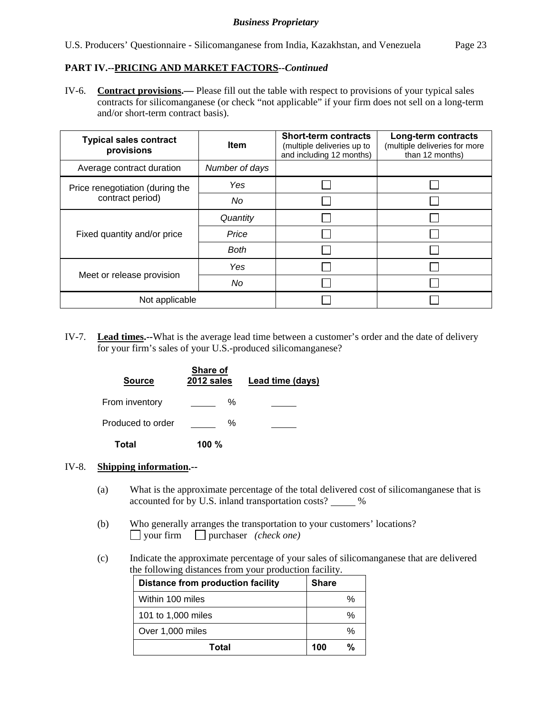## **PART IV.--PRICING AND MARKET FACTORS***--Continued*

IV-6. **Contract provisions.—** Please fill out the table with respect to provisions of your typical sales contracts for silicomanganese (or check "not applicable" if your firm does not sell on a long-term and/or short-term contract basis).

| <b>Typical sales contract</b><br>provisions | <b>Item</b>    | <b>Short-term contracts</b><br>(multiple deliveries up to<br>and including 12 months) | Long-term contracts<br>(multiple deliveries for more<br>than 12 months) |
|---------------------------------------------|----------------|---------------------------------------------------------------------------------------|-------------------------------------------------------------------------|
| Average contract duration                   | Number of days |                                                                                       |                                                                         |
| Price renegotiation (during the             | Yes            |                                                                                       |                                                                         |
| contract period)                            | No             |                                                                                       |                                                                         |
|                                             | Quantity       |                                                                                       |                                                                         |
| Fixed quantity and/or price                 | Price          |                                                                                       |                                                                         |
|                                             | <b>Both</b>    |                                                                                       |                                                                         |
|                                             | Yes            |                                                                                       |                                                                         |
| Meet or release provision                   | No             |                                                                                       |                                                                         |
| Not applicable                              |                |                                                                                       |                                                                         |

IV-7. **Lead times.--**What is the average lead time between a customer's order and the date of delivery for your firm's sales of your U.S.-produced silicomanganese?

| <b>Source</b>     | Share of<br>2012 sales | Lead time (days) |
|-------------------|------------------------|------------------|
| From inventory    | ℅                      |                  |
| Produced to order | ℅                      |                  |
| Total             | 100 $%$                |                  |

#### IV-8. **Shipping information.--**

- (a) What is the approximate percentage of the total delivered cost of silicomanganese that is accounted for by U.S. inland transportation costs? \_\_\_\_\_ %
- (b) Who generally arranges the transportation to your customers' locations? your firm purchaser *(check one)*
- (c) Indicate the approximate percentage of your sales of silicomanganese that are delivered the following distances from your production facility.

| Distance from production facility | Share         |
|-----------------------------------|---------------|
| Within 100 miles                  | $\frac{0}{0}$ |
| 101 to 1,000 miles                | %             |
| Over 1,000 miles                  | %             |
| Total                             | %<br>100      |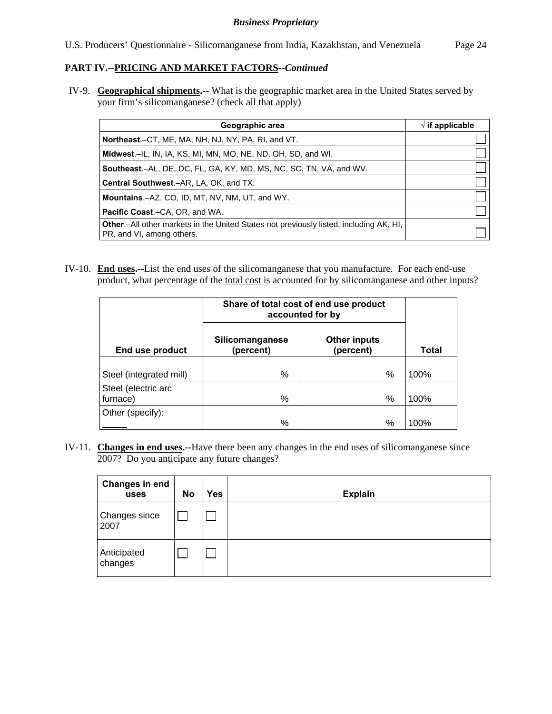# **PART IV.--PRICING AND MARKET FACTORS***--Continued*

IV-9. **Geographical shipments.--** What is the geographic market area in the United States served by your firm's silicomanganese? (check all that apply)

| Geographic area                                                                                                             | $\sqrt{}$ if applicable |
|-----------------------------------------------------------------------------------------------------------------------------|-------------------------|
| Northeast.-CT, ME, MA, NH, NJ, NY, PA, RI, and VT.                                                                          |                         |
| <b>Midwest.</b> –IL, IN, IA, KS, MI, MN, MO, NE, ND, OH, SD, and WI.                                                        |                         |
| <b>Southeast.–AL, DE, DC, FL, GA, KY, MD, MS, NC, SC, TN, VA, and WV.</b>                                                   |                         |
| <b>Central Southwest.–AR, LA, OK, and TX.</b>                                                                               |                         |
| <b>Mountains.-AZ, CO, ID, MT, NV, NM, UT, and WY.</b>                                                                       |                         |
| <b>Pacific Coast.–CA, OR, and WA.</b>                                                                                       |                         |
| <b>Other</b> .-All other markets in the United States not previously listed, including AK, HI,<br>PR, and VI, among others. |                         |

IV-10. **End uses.--**List the end uses of the silicomanganese that you manufacture. For each end-use product, what percentage of the total cost is accounted for by silicomanganese and other inputs?

|                         | Share of total cost of end use product<br>accounted for by |                                  |              |
|-------------------------|------------------------------------------------------------|----------------------------------|--------------|
| End use product         | <b>Silicomanganese</b><br>(percent)                        | <b>Other inputs</b><br>(percent) | <b>Total</b> |
| Steel (integrated mill) | %                                                          | $\%$                             | 100%         |
| Steel (electric arc     |                                                            |                                  |              |
| furnace)                | %                                                          | %                                | 100%         |
| Other (specify):        |                                                            |                                  |              |
|                         | %                                                          | %                                | 100%         |

IV-11. **Changes in end uses.--**Have there been any changes in the end uses of silicomanganese since 2007? Do you anticipate any future changes?

| Changes in end<br>uses | No | Yes | <b>Explain</b> |
|------------------------|----|-----|----------------|
| Changes since<br>2007  |    |     |                |
| Anticipated<br>changes |    |     |                |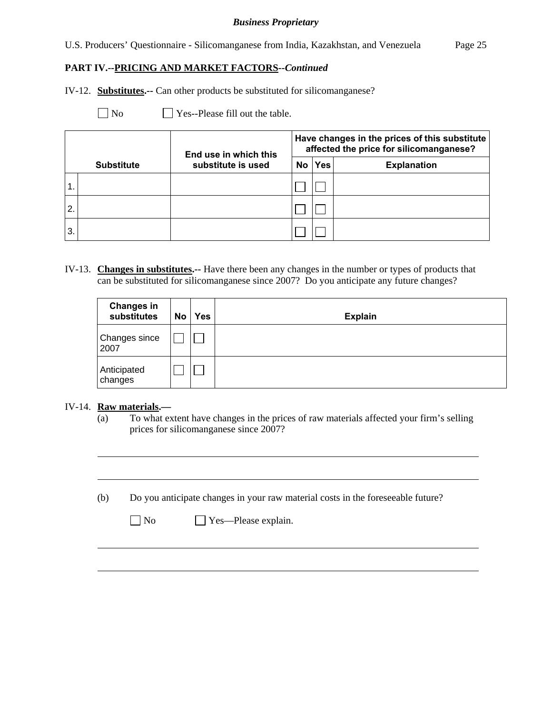U.S. Producers' Questionnaire - Silicomanganese from India, Kazakhstan, and Venezuela Page 25

**PART IV.--PRICING AND MARKET FACTORS***--Continued* 

IV-12. **Substitutes.--** Can other products be substituted for silicomanganese?

 $\Box$  No  $\Box$  Yes--Please fill out the table.

|               |                   | End use in which this |     |            | Have changes in the prices of this substitute<br>affected the price for silicomanganese? |
|---------------|-------------------|-----------------------|-----|------------|------------------------------------------------------------------------------------------|
|               | <b>Substitute</b> | substitute is used    | No. | <b>Yes</b> | <b>Explanation</b>                                                                       |
| $\mathbf 1$ . |                   |                       |     |            |                                                                                          |
| 2.            |                   |                       |     |            |                                                                                          |
| 3.            |                   |                       |     |            |                                                                                          |

IV-13. **Changes in substitutes.--** Have there been any changes in the number or types of products that can be substituted for silicomanganese since 2007? Do you anticipate any future changes?

| <b>Changes in</b><br>substitutes | No | <b>Yes</b> | <b>Explain</b> |
|----------------------------------|----|------------|----------------|
| Changes since<br>2007            |    |            |                |
| Anticipated<br>changes           |    |            |                |

#### IV-14. **Raw materials.—**

l

 $\overline{a}$ 

(a) To what extent have changes in the prices of raw materials affected your firm's selling prices for silicomanganese since 2007?

(b) Do you anticipate changes in your raw material costs in the foreseeable future?

| u |
|---|
|---|

No Yes—Please explain.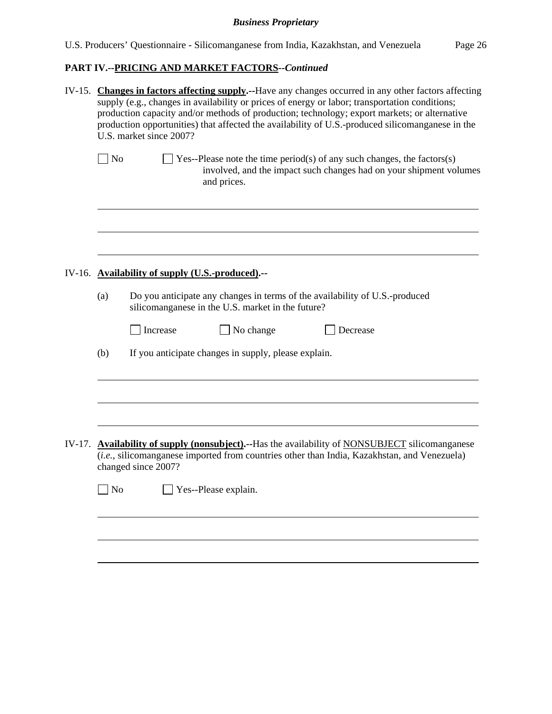# **PART IV.--PRICING AND MARKET FACTORS***--Continued*

| IV-15. Changes in factors affecting supply.--Have any changes occurred in any other factors affecting<br>supply (e.g., changes in availability or prices of energy or labor; transportation conditions;<br>production capacity and/or methods of production; technology; export markets; or alternative<br>production opportunities) that affected the availability of U.S.-produced silicomanganese in the<br>U.S. market since 2007? |                                                                                                                                                                                                                       |  |  |  |  |  |  |
|----------------------------------------------------------------------------------------------------------------------------------------------------------------------------------------------------------------------------------------------------------------------------------------------------------------------------------------------------------------------------------------------------------------------------------------|-----------------------------------------------------------------------------------------------------------------------------------------------------------------------------------------------------------------------|--|--|--|--|--|--|
| N <sub>o</sub>                                                                                                                                                                                                                                                                                                                                                                                                                         | Yes--Please note the time period(s) of any such changes, the factors(s)<br>involved, and the impact such changes had on your shipment volumes<br>and prices.                                                          |  |  |  |  |  |  |
|                                                                                                                                                                                                                                                                                                                                                                                                                                        |                                                                                                                                                                                                                       |  |  |  |  |  |  |
|                                                                                                                                                                                                                                                                                                                                                                                                                                        | IV-16. Availability of supply (U.S.-produced).--                                                                                                                                                                      |  |  |  |  |  |  |
| (a)                                                                                                                                                                                                                                                                                                                                                                                                                                    | Do you anticipate any changes in terms of the availability of U.S.-produced<br>silicomanganese in the U.S. market in the future?                                                                                      |  |  |  |  |  |  |
|                                                                                                                                                                                                                                                                                                                                                                                                                                        | $\Box$ Increase<br>No change<br>Decrease                                                                                                                                                                              |  |  |  |  |  |  |
| (b)                                                                                                                                                                                                                                                                                                                                                                                                                                    | If you anticipate changes in supply, please explain.                                                                                                                                                                  |  |  |  |  |  |  |
|                                                                                                                                                                                                                                                                                                                                                                                                                                        |                                                                                                                                                                                                                       |  |  |  |  |  |  |
|                                                                                                                                                                                                                                                                                                                                                                                                                                        | IV-17. Availability of supply (nonsubject).--Has the availability of NONSUBJECT silicomanganese<br>(i.e., silicomanganese imported from countries other than India, Kazakhstan, and Venezuela)<br>changed since 2007? |  |  |  |  |  |  |
| No                                                                                                                                                                                                                                                                                                                                                                                                                                     | Yes--Please explain.                                                                                                                                                                                                  |  |  |  |  |  |  |
|                                                                                                                                                                                                                                                                                                                                                                                                                                        |                                                                                                                                                                                                                       |  |  |  |  |  |  |
|                                                                                                                                                                                                                                                                                                                                                                                                                                        |                                                                                                                                                                                                                       |  |  |  |  |  |  |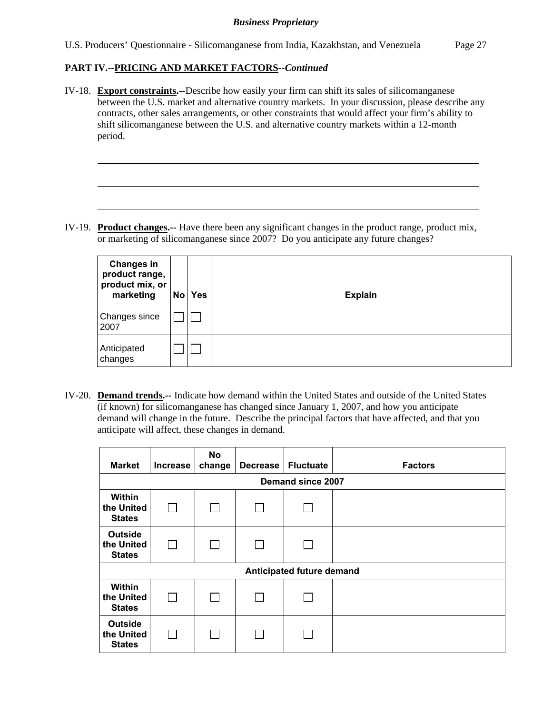### **PART IV.--PRICING AND MARKET FACTORS***--Continued*

l

IV-18. **Export constraints.--**Describe how easily your firm can shift its sales of silicomanganese between the U.S. market and alternative country markets. In your discussion, please describe any contracts, other sales arrangements, or other constraints that would affect your firm's ability to shift silicomanganese between the U.S. and alternative country markets within a 12-month period.

IV-19. **Product changes.--** Have there been any significant changes in the product range, product mix, or marketing of silicomanganese since 2007? Do you anticipate any future changes?

| <b>Changes in</b><br>product range,<br>product mix, or<br>marketing | <b>No</b> | <b>Yes</b> | <b>Explain</b> |
|---------------------------------------------------------------------|-----------|------------|----------------|
| Changes since<br>2007                                               |           |            |                |
| Anticipated<br>changes                                              |           |            |                |

IV-20. **Demand trends.--** Indicate how demand within the United States and outside of the United States (if known) for silicomanganese has changed since January 1, 2007, and how you anticipate demand will change in the future. Describe the principal factors that have affected, and that you anticipate will affect, these changes in demand.

| <b>Market</b>                                 | <b>Increase</b> | No<br>change | <b>Decrease</b> | <b>Fluctuate</b> | <b>Factors</b> |  |  |  |  |
|-----------------------------------------------|-----------------|--------------|-----------------|------------------|----------------|--|--|--|--|
| Demand since 2007                             |                 |              |                 |                  |                |  |  |  |  |
| Within<br>the United<br><b>States</b>         | $\mathbf{I}$    |              |                 |                  |                |  |  |  |  |
| <b>Outside</b><br>the United<br><b>States</b> |                 |              |                 |                  |                |  |  |  |  |
| Anticipated future demand                     |                 |              |                 |                  |                |  |  |  |  |
| Within<br>the United<br><b>States</b>         | П               |              |                 |                  |                |  |  |  |  |
| <b>Outside</b><br>the United<br><b>States</b> |                 |              |                 |                  |                |  |  |  |  |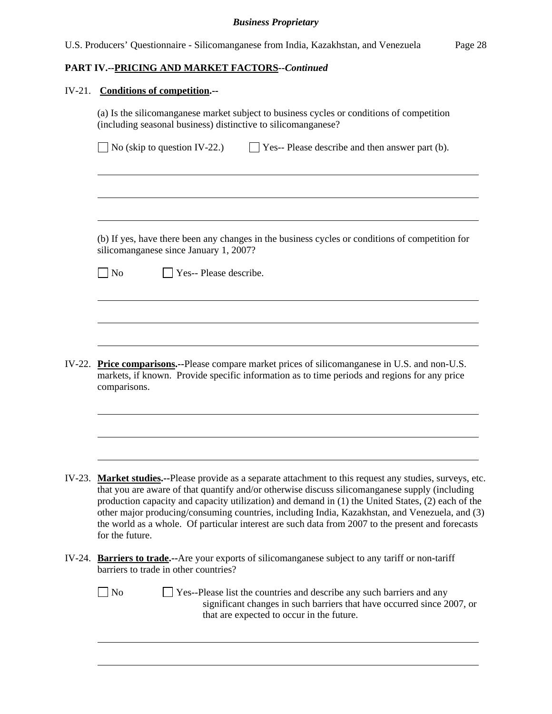# **PART IV.--PRICING AND MARKET FACTORS***--Continued*

# IV-21. **Conditions of competition.--**

l

|        | (a) Is the silicomanganese market subject to business cycles or conditions of competition<br>(including seasonal business) distinctive to silicomanganese?                                                                                                                                                                                                                                                                                                                                                                            |
|--------|---------------------------------------------------------------------------------------------------------------------------------------------------------------------------------------------------------------------------------------------------------------------------------------------------------------------------------------------------------------------------------------------------------------------------------------------------------------------------------------------------------------------------------------|
|        | No (skip to question IV-22.)<br>$\Box$ Yes-- Please describe and then answer part (b).                                                                                                                                                                                                                                                                                                                                                                                                                                                |
|        |                                                                                                                                                                                                                                                                                                                                                                                                                                                                                                                                       |
|        | (b) If yes, have there been any changes in the business cycles or conditions of competition for<br>silicomanganese since January 1, 2007?                                                                                                                                                                                                                                                                                                                                                                                             |
|        | $\Box$ No<br>Yes-- Please describe.                                                                                                                                                                                                                                                                                                                                                                                                                                                                                                   |
|        |                                                                                                                                                                                                                                                                                                                                                                                                                                                                                                                                       |
|        |                                                                                                                                                                                                                                                                                                                                                                                                                                                                                                                                       |
| IV-22. | <b>Price comparisons.</b> --Please compare market prices of silicomanganese in U.S. and non-U.S.<br>markets, if known. Provide specific information as to time periods and regions for any price<br>comparisons.                                                                                                                                                                                                                                                                                                                      |
|        |                                                                                                                                                                                                                                                                                                                                                                                                                                                                                                                                       |
| IV-23. | Market studies.--Please provide as a separate attachment to this request any studies, surveys, etc.<br>that you are aware of that quantify and/or otherwise discuss silicomanganese supply (including<br>production capacity and capacity utilization) and demand in (1) the United States, (2) each of the<br>other major producing/consuming countries, including India, Kazakhstan, and Venezuela, and (3)<br>the world as a whole. Of particular interest are such data from 2007 to the present and forecasts<br>for the future. |
| IV-24. | <b>Barriers to trade.--</b> Are your exports of silicomanganese subject to any tariff or non-tariff<br>barriers to trade in other countries?                                                                                                                                                                                                                                                                                                                                                                                          |
|        | $\Box$ No<br>Yes--Please list the countries and describe any such barriers and any<br>significant changes in such barriers that have occurred since 2007, or<br>that are expected to occur in the future.                                                                                                                                                                                                                                                                                                                             |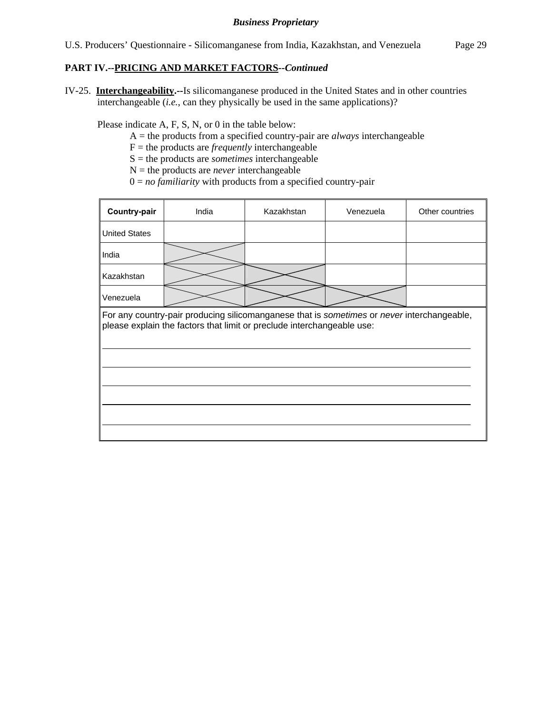### **PART IV.--PRICING AND MARKET FACTORS***--Continued*

IV-25. **Interchangeability.--**Is silicomanganese produced in the United States and in other countries interchangeable (*i.e.*, can they physically be used in the same applications)?

Please indicate A, F, S, N, or 0 in the table below:

- A = the products from a specified country-pair are *always* interchangeable
- $F =$  the products are *frequently* interchangeable
- S = the products are *sometimes* interchangeable
- $N =$  the products are *never* interchangeable
- $0 = no$  *familiarity* with products from a specified country-pair

| Country-pair                                                                                                                                                         | India | Kazakhstan | Venezuela | Other countries |  |  |  |
|----------------------------------------------------------------------------------------------------------------------------------------------------------------------|-------|------------|-----------|-----------------|--|--|--|
| <b>United States</b>                                                                                                                                                 |       |            |           |                 |  |  |  |
| India                                                                                                                                                                |       |            |           |                 |  |  |  |
| Kazakhstan                                                                                                                                                           |       |            |           |                 |  |  |  |
| Venezuela                                                                                                                                                            |       |            |           |                 |  |  |  |
| For any country-pair producing silicomanganese that is sometimes or never interchangeable,<br>please explain the factors that limit or preclude interchangeable use: |       |            |           |                 |  |  |  |
|                                                                                                                                                                      |       |            |           |                 |  |  |  |
|                                                                                                                                                                      |       |            |           |                 |  |  |  |